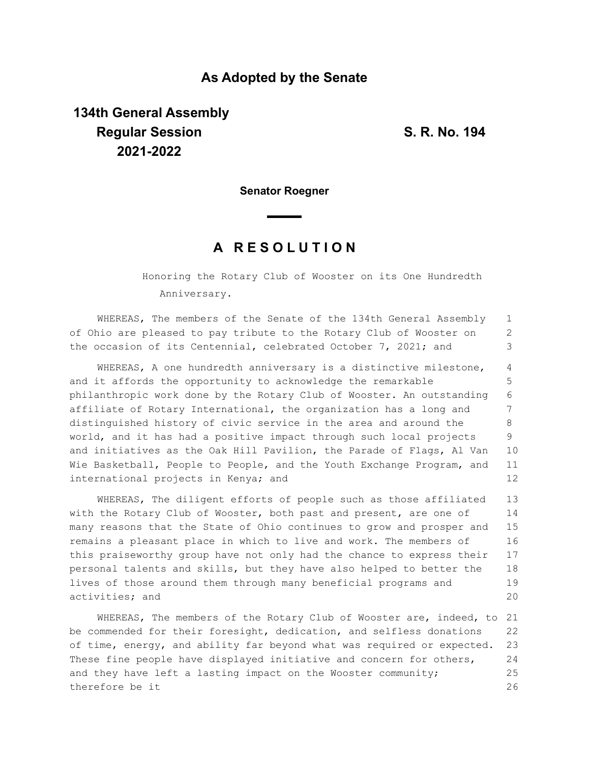## **As Adopted by the Senate**

## **134th General Assembly Regular Session S. R. No. 194 2021-2022**

**Senator Roegner**

## **A R E S O L U T I O N**

Honoring the Rotary Club of Wooster on its One Hundredth Anniversary.

WHEREAS, The members of the Senate of the 134th General Assembly of Ohio are pleased to pay tribute to the Rotary Club of Wooster on the occasion of its Centennial, celebrated October 7, 2021; and 1 2 3

WHEREAS, A one hundredth anniversary is a distinctive milestone, and it affords the opportunity to acknowledge the remarkable philanthropic work done by the Rotary Club of Wooster. An outstanding affiliate of Rotary International, the organization has a long and distinguished history of civic service in the area and around the world, and it has had a positive impact through such local projects and initiatives as the Oak Hill Pavilion, the Parade of Flags, Al Van Wie Basketball, People to People, and the Youth Exchange Program, and international projects in Kenya; and 4 5 6 7 8 9 10 11 12

WHEREAS, The diligent efforts of people such as those affiliated with the Rotary Club of Wooster, both past and present, are one of many reasons that the State of Ohio continues to grow and prosper and remains a pleasant place in which to live and work. The members of this praiseworthy group have not only had the chance to express their personal talents and skills, but they have also helped to better the lives of those around them through many beneficial programs and activities; and 13 14 15 16 17 18 19 20

WHEREAS, The members of the Rotary Club of Wooster are, indeed, to 21 be commended for their foresight, dedication, and selfless donations of time, energy, and ability far beyond what was required or expected. These fine people have displayed initiative and concern for others, and they have left a lasting impact on the Wooster community; therefore be it 22 23 24 25 26